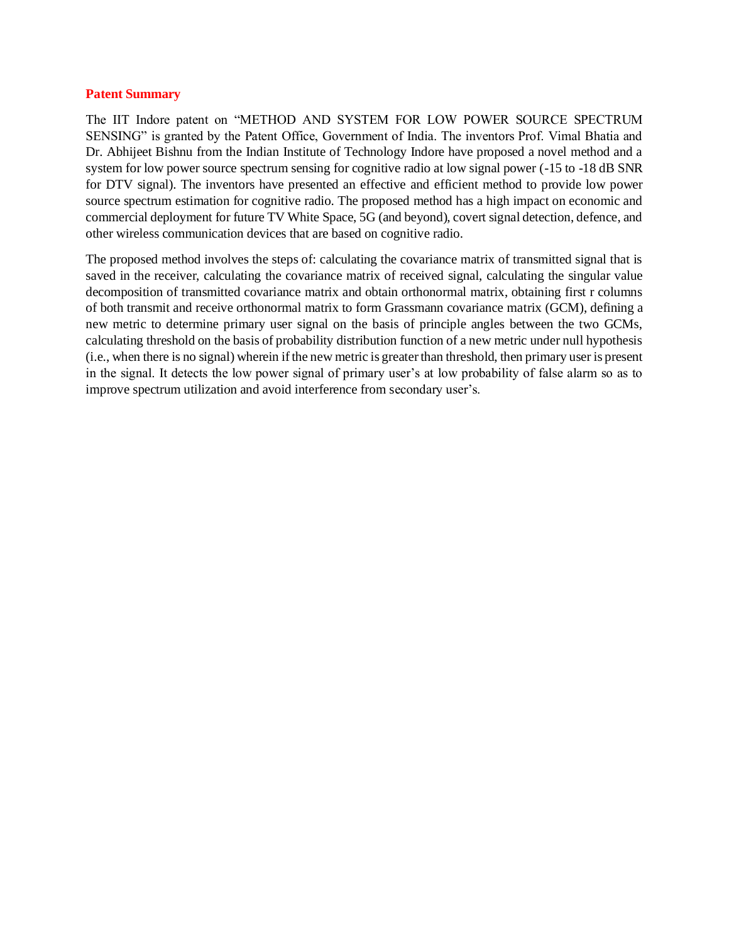## **Patent Summary**

The IIT Indore patent on "METHOD AND SYSTEM FOR LOW POWER SOURCE SPECTRUM SENSING" is granted by the Patent Office, Government of India. The inventors Prof. Vimal Bhatia and Dr. Abhijeet Bishnu from the Indian Institute of Technology Indore have proposed a novel method and a system for low power source spectrum sensing for cognitive radio at low signal power (-15 to -18 dB SNR for DTV signal). The inventors have presented an effective and efficient method to provide low power source spectrum estimation for cognitive radio. The proposed method has a high impact on economic and commercial deployment for future TV White Space, 5G (and beyond), covert signal detection, defence, and other wireless communication devices that are based on cognitive radio.

The proposed method involves the steps of: calculating the covariance matrix of transmitted signal that is saved in the receiver, calculating the covariance matrix of received signal, calculating the singular value decomposition of transmitted covariance matrix and obtain orthonormal matrix, obtaining first r columns of both transmit and receive orthonormal matrix to form Grassmann covariance matrix (GCM), defining a new metric to determine primary user signal on the basis of principle angles between the two GCMs, calculating threshold on the basis of probability distribution function of a new metric under null hypothesis (i.e., when there is no signal) wherein if the new metric is greater than threshold, then primary user is present in the signal. It detects the low power signal of primary user's at low probability of false alarm so as to improve spectrum utilization and avoid interference from secondary user's.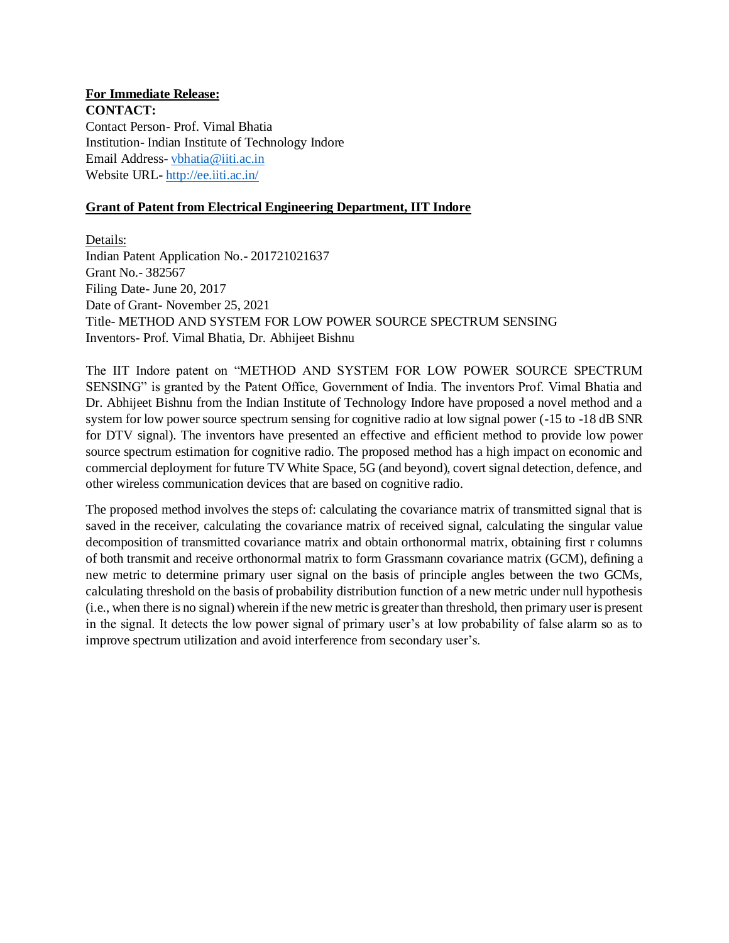## **For Immediate Release:**

**CONTACT:**  Contact Person- Prof. Vimal Bhatia Institution- Indian Institute of Technology Indore Email Address- [vbhatia@iiti.ac.in](mailto:vbhatia@iiti.ac.in) Website URL- <http://ee.iiti.ac.in/>

## **Grant of Patent from Electrical Engineering Department, IIT Indore**

Details: Indian Patent Application No.- 201721021637 Grant No.- 382567 Filing Date- June 20, 2017 Date of Grant- November 25, 2021 Title- METHOD AND SYSTEM FOR LOW POWER SOURCE SPECTRUM SENSING Inventors- Prof. Vimal Bhatia, Dr. Abhijeet Bishnu

The IIT Indore patent on "METHOD AND SYSTEM FOR LOW POWER SOURCE SPECTRUM SENSING" is granted by the Patent Office, Government of India. The inventors Prof. Vimal Bhatia and Dr. Abhijeet Bishnu from the Indian Institute of Technology Indore have proposed a novel method and a system for low power source spectrum sensing for cognitive radio at low signal power (-15 to -18 dB SNR for DTV signal). The inventors have presented an effective and efficient method to provide low power source spectrum estimation for cognitive radio. The proposed method has a high impact on economic and commercial deployment for future TV White Space, 5G (and beyond), covert signal detection, defence, and other wireless communication devices that are based on cognitive radio.

The proposed method involves the steps of: calculating the covariance matrix of transmitted signal that is saved in the receiver, calculating the covariance matrix of received signal, calculating the singular value decomposition of transmitted covariance matrix and obtain orthonormal matrix, obtaining first r columns of both transmit and receive orthonormal matrix to form Grassmann covariance matrix (GCM), defining a new metric to determine primary user signal on the basis of principle angles between the two GCMs, calculating threshold on the basis of probability distribution function of a new metric under null hypothesis (i.e., when there is no signal) wherein if the new metric is greater than threshold, then primary user is present in the signal. It detects the low power signal of primary user's at low probability of false alarm so as to improve spectrum utilization and avoid interference from secondary user's.